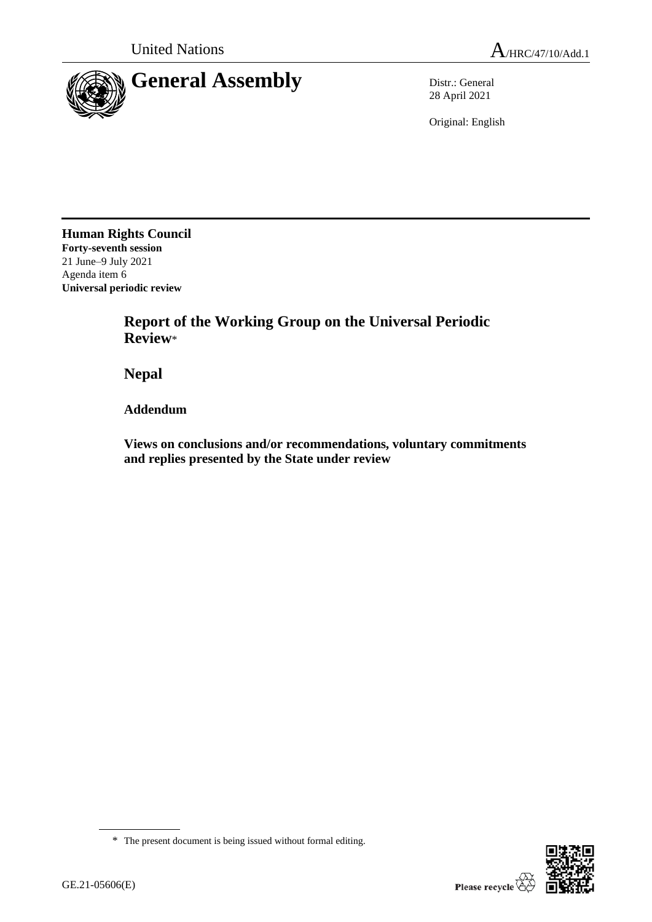

28 April 2021

Original: English

**Human Rights Council Forty-seventh session** 21 June–9 July 2021 Agenda item 6 **Universal periodic review**

> **Report of the Working Group on the Universal Periodic Review**\*

**Nepal**

**Addendum**

**Views on conclusions and/or recommendations, voluntary commitments and replies presented by the State under review**



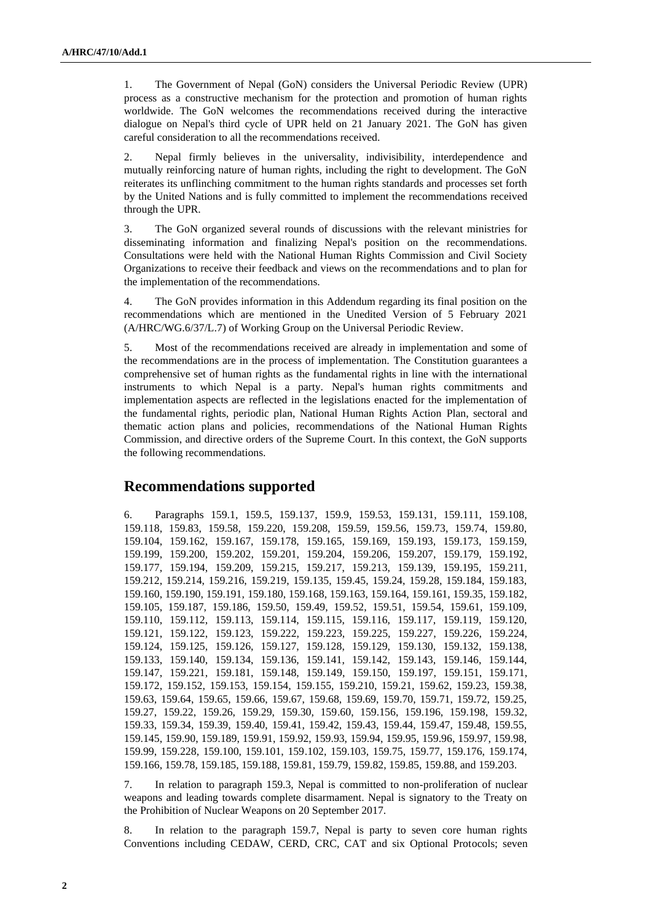1. The Government of Nepal (GoN) considers the Universal Periodic Review (UPR) process as a constructive mechanism for the protection and promotion of human rights worldwide. The GoN welcomes the recommendations received during the interactive dialogue on Nepal's third cycle of UPR held on 21 January 2021. The GoN has given careful consideration to all the recommendations received.

2. Nepal firmly believes in the universality, indivisibility, interdependence and mutually reinforcing nature of human rights, including the right to development. The GoN reiterates its unflinching commitment to the human rights standards and processes set forth by the United Nations and is fully committed to implement the recommendations received through the UPR.

3. The GoN organized several rounds of discussions with the relevant ministries for disseminating information and finalizing Nepal's position on the recommendations. Consultations were held with the National Human Rights Commission and Civil Society Organizations to receive their feedback and views on the recommendations and to plan for the implementation of the recommendations.

4. The GoN provides information in this Addendum regarding its final position on the recommendations which are mentioned in the Unedited Version of 5 February 2021 (A/HRC/WG.6/37/L.7) of Working Group on the Universal Periodic Review.

5. Most of the recommendations received are already in implementation and some of the recommendations are in the process of implementation. The Constitution guarantees a comprehensive set of human rights as the fundamental rights in line with the international instruments to which Nepal is a party. Nepal's human rights commitments and implementation aspects are reflected in the legislations enacted for the implementation of the fundamental rights, periodic plan, National Human Rights Action Plan, sectoral and thematic action plans and policies, recommendations of the National Human Rights Commission, and directive orders of the Supreme Court. In this context, the GoN supports the following recommendations.

# **Recommendations supported**

6. Paragraphs 159.1, 159.5, 159.137, 159.9, 159.53, 159.131, 159.111, 159.108, 159.118, 159.83, 159.58, 159.220, 159.208, 159.59, 159.56, 159.73, 159.74, 159.80, 159.104, 159.162, 159.167, 159.178, 159.165, 159.169, 159.193, 159.173, 159.159, 159.199, 159.200, 159.202, 159.201, 159.204, 159.206, 159.207, 159.179, 159.192, 159.177, 159.194, 159.209, 159.215, 159.217, 159.213, 159.139, 159.195, 159.211, 159.212, 159.214, 159.216, 159.219, 159.135, 159.45, 159.24, 159.28, 159.184, 159.183, 159.160, 159.190, 159.191, 159.180, 159.168, 159.163, 159.164, 159.161, 159.35, 159.182, 159.105, 159.187, 159.186, 159.50, 159.49, 159.52, 159.51, 159.54, 159.61, 159.109, 159.110, 159.112, 159.113, 159.114, 159.115, 159.116, 159.117, 159.119, 159.120, 159.121, 159.122, 159.123, 159.222, 159.223, 159.225, 159.227, 159.226, 159.224, 159.124, 159.125, 159.126, 159.127, 159.128, 159.129, 159.130, 159.132, 159.138, 159.133, 159.140, 159.134, 159.136, 159.141, 159.142, 159.143, 159.146, 159.144, 159.147, 159.221, 159.181, 159.148, 159.149, 159.150, 159.197, 159.151, 159.171, 159.172, 159.152, 159.153, 159.154, 159.155, 159.210, 159.21, 159.62, 159.23, 159.38, 159.63, 159.64, 159.65, 159.66, 159.67, 159.68, 159.69, 159.70, 159.71, 159.72, 159.25, 159.27, 159.22, 159.26, 159.29, 159.30, 159.60, 159.156, 159.196, 159.198, 159.32, 159.33, 159.34, 159.39, 159.40, 159.41, 159.42, 159.43, 159.44, 159.47, 159.48, 159.55, 159.145, 159.90, 159.189, 159.91, 159.92, 159.93, 159.94, 159.95, 159.96, 159.97, 159.98, 159.99, 159.228, 159.100, 159.101, 159.102, 159.103, 159.75, 159.77, 159.176, 159.174, 159.166, 159.78, 159.185, 159.188, 159.81, 159.79, 159.82, 159.85, 159.88, and 159.203.

7. In relation to paragraph 159.3, Nepal is committed to non-proliferation of nuclear weapons and leading towards complete disarmament. Nepal is signatory to the Treaty on the Prohibition of Nuclear Weapons on 20 September 2017.

8. In relation to the paragraph 159.7, Nepal is party to seven core human rights Conventions including CEDAW, CERD, CRC, CAT and six Optional Protocols; seven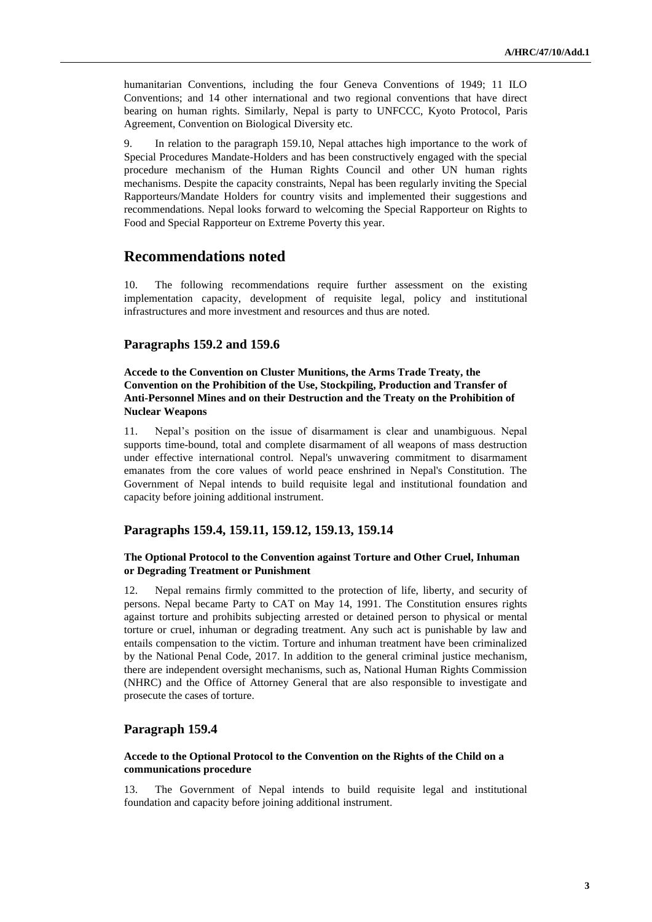humanitarian Conventions, including the four Geneva Conventions of 1949; 11 ILO Conventions; and 14 other international and two regional conventions that have direct bearing on human rights. Similarly, Nepal is party to UNFCCC, Kyoto Protocol, Paris Agreement, Convention on Biological Diversity etc.

9. In relation to the paragraph 159.10, Nepal attaches high importance to the work of Special Procedures Mandate-Holders and has been constructively engaged with the special procedure mechanism of the Human Rights Council and other UN human rights mechanisms. Despite the capacity constraints, Nepal has been regularly inviting the Special Rapporteurs/Mandate Holders for country visits and implemented their suggestions and recommendations. Nepal looks forward to welcoming the Special Rapporteur on Rights to Food and Special Rapporteur on Extreme Poverty this year.

# **Recommendations noted**

10. The following recommendations require further assessment on the existing implementation capacity, development of requisite legal, policy and institutional infrastructures and more investment and resources and thus are noted.

# **Paragraphs 159.2 and 159.6**

## **Accede to the Convention on Cluster Munitions, the Arms Trade Treaty, the Convention on the Prohibition of the Use, Stockpiling, Production and Transfer of Anti-Personnel Mines and on their Destruction and the Treaty on the Prohibition of Nuclear Weapons**

11. Nepal's position on the issue of disarmament is clear and unambiguous. Nepal supports time-bound, total and complete disarmament of all weapons of mass destruction under effective international control. Nepal's unwavering commitment to disarmament emanates from the core values of world peace enshrined in Nepal's Constitution. The Government of Nepal intends to build requisite legal and institutional foundation and capacity before joining additional instrument.

## **Paragraphs 159.4, 159.11, 159.12, 159.13, 159.14**

## **The Optional Protocol to the Convention against Torture and Other Cruel, Inhuman or Degrading Treatment or Punishment**

12. Nepal remains firmly committed to the protection of life, liberty, and security of persons. Nepal became Party to CAT on May 14, 1991. The Constitution ensures rights against torture and prohibits subjecting arrested or detained person to physical or mental torture or cruel, inhuman or degrading treatment. Any such act is punishable by law and entails compensation to the victim. Torture and inhuman treatment have been criminalized by the National Penal Code, 2017. In addition to the general criminal justice mechanism, there are independent oversight mechanisms, such as, National Human Rights Commission (NHRC) and the Office of Attorney General that are also responsible to investigate and prosecute the cases of torture.

## **Paragraph 159.4**

### **Accede to the Optional Protocol to the Convention on the Rights of the Child on a communications procedure**

13. The Government of Nepal intends to build requisite legal and institutional foundation and capacity before joining additional instrument.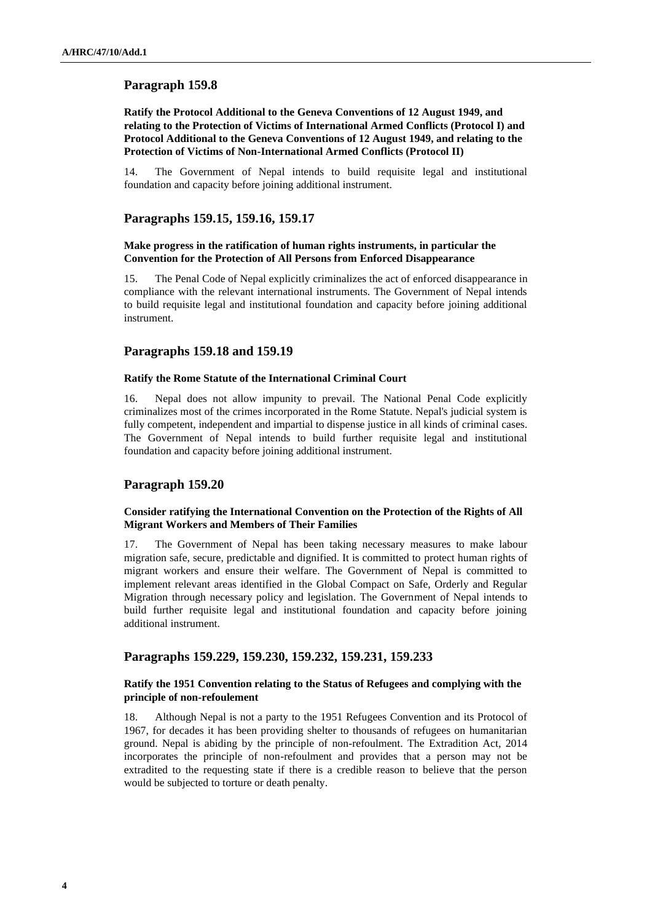# **Ratify the Protocol Additional to the Geneva Conventions of 12 August 1949, and relating to the Protection of Victims of International Armed Conflicts (Protocol I) and Protocol Additional to the Geneva Conventions of 12 August 1949, and relating to the Protection of Victims of Non-International Armed Conflicts (Protocol II)**

14. The Government of Nepal intends to build requisite legal and institutional foundation and capacity before joining additional instrument.

### **Paragraphs 159.15, 159.16, 159.17**

#### **Make progress in the ratification of human rights instruments, in particular the Convention for the Protection of All Persons from Enforced Disappearance**

15. The Penal Code of Nepal explicitly criminalizes the act of enforced disappearance in compliance with the relevant international instruments. The Government of Nepal intends to build requisite legal and institutional foundation and capacity before joining additional instrument.

### **Paragraphs 159.18 and 159.19**

#### **Ratify the Rome Statute of the International Criminal Court**

16. Nepal does not allow impunity to prevail. The National Penal Code explicitly criminalizes most of the crimes incorporated in the Rome Statute. Nepal's judicial system is fully competent, independent and impartial to dispense justice in all kinds of criminal cases. The Government of Nepal intends to build further requisite legal and institutional foundation and capacity before joining additional instrument.

# **Paragraph 159.20**

## **Consider ratifying the International Convention on the Protection of the Rights of All Migrant Workers and Members of Their Families**

17. The Government of Nepal has been taking necessary measures to make labour migration safe, secure, predictable and dignified. It is committed to protect human rights of migrant workers and ensure their welfare. The Government of Nepal is committed to implement relevant areas identified in the Global Compact on Safe, Orderly and Regular Migration through necessary policy and legislation. The Government of Nepal intends to build further requisite legal and institutional foundation and capacity before joining additional instrument.

# **Paragraphs 159.229, 159.230, 159.232, 159.231, 159.233**

#### **Ratify the 1951 Convention relating to the Status of Refugees and complying with the principle of non-refoulement**

18. Although Nepal is not a party to the 1951 Refugees Convention and its Protocol of 1967, for decades it has been providing shelter to thousands of refugees on humanitarian ground. Nepal is abiding by the principle of non-refoulment. The Extradition Act, 2014 incorporates the principle of non-refoulment and provides that a person may not be extradited to the requesting state if there is a credible reason to believe that the person would be subjected to torture or death penalty.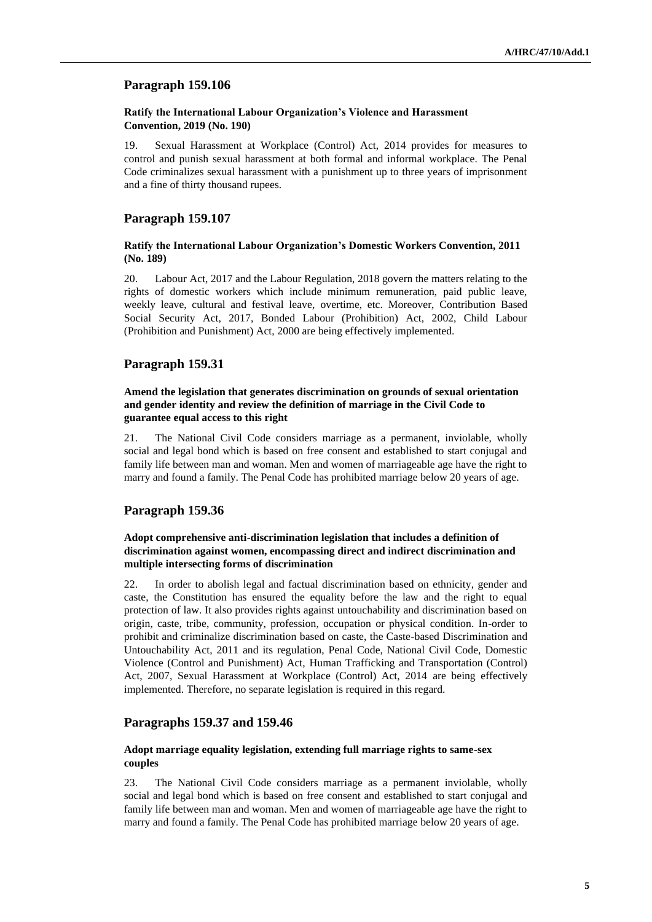#### **Ratify the International Labour Organization's Violence and Harassment Convention, 2019 (No. 190)**

19. Sexual Harassment at Workplace (Control) Act, 2014 provides for measures to control and punish sexual harassment at both formal and informal workplace. The Penal Code criminalizes sexual harassment with a punishment up to three years of imprisonment and a fine of thirty thousand rupees.

#### **Paragraph 159.107**

## **Ratify the International Labour Organization's Domestic Workers Convention, 2011 (No. 189)**

20. Labour Act, 2017 and the Labour Regulation, 2018 govern the matters relating to the rights of domestic workers which include minimum remuneration, paid public leave, weekly leave, cultural and festival leave, overtime, etc. Moreover, Contribution Based Social Security Act, 2017, Bonded Labour (Prohibition) Act, 2002, Child Labour (Prohibition and Punishment) Act, 2000 are being effectively implemented.

### **Paragraph 159.31**

### **Amend the legislation that generates discrimination on grounds of sexual orientation and gender identity and review the definition of marriage in the Civil Code to guarantee equal access to this right**

21. The National Civil Code considers marriage as a permanent, inviolable, wholly social and legal bond which is based on free consent and established to start conjugal and family life between man and woman. Men and women of marriageable age have the right to marry and found a family. The Penal Code has prohibited marriage below 20 years of age.

# **Paragraph 159.36**

## **Adopt comprehensive anti-discrimination legislation that includes a definition of discrimination against women, encompassing direct and indirect discrimination and multiple intersecting forms of discrimination**

22. In order to abolish legal and factual discrimination based on ethnicity, gender and caste, the Constitution has ensured the equality before the law and the right to equal protection of law. It also provides rights against untouchability and discrimination based on origin, caste, tribe, community, profession, occupation or physical condition. In-order to prohibit and criminalize discrimination based on caste, the Caste-based Discrimination and Untouchability Act, 2011 and its regulation, Penal Code, National Civil Code, Domestic Violence (Control and Punishment) Act, Human Trafficking and Transportation (Control) Act, 2007, Sexual Harassment at Workplace (Control) Act, 2014 are being effectively implemented. Therefore, no separate legislation is required in this regard.

#### **Paragraphs 159.37 and 159.46**

### **Adopt marriage equality legislation, extending full marriage rights to same-sex couples**

23. The National Civil Code considers marriage as a permanent inviolable, wholly social and legal bond which is based on free consent and established to start conjugal and family life between man and woman. Men and women of marriageable age have the right to marry and found a family. The Penal Code has prohibited marriage below 20 years of age.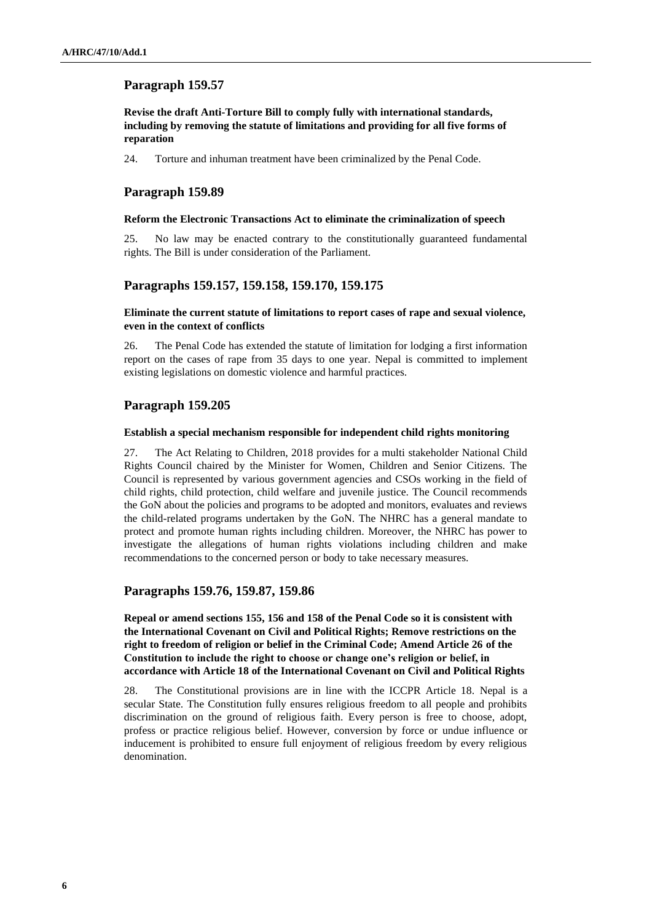# **Revise the draft Anti-Torture Bill to comply fully with international standards, including by removing the statute of limitations and providing for all five forms of reparation**

24. Torture and inhuman treatment have been criminalized by the Penal Code.

# **Paragraph 159.89**

#### **Reform the Electronic Transactions Act to eliminate the criminalization of speech**

25. No law may be enacted contrary to the constitutionally guaranteed fundamental rights. The Bill is under consideration of the Parliament.

# **Paragraphs 159.157, 159.158, 159.170, 159.175**

## **Eliminate the current statute of limitations to report cases of rape and sexual violence, even in the context of conflicts**

26. The Penal Code has extended the statute of limitation for lodging a first information report on the cases of rape from 35 days to one year. Nepal is committed to implement existing legislations on domestic violence and harmful practices.

# **Paragraph 159.205**

#### **Establish a special mechanism responsible for independent child rights monitoring**

27. The Act Relating to Children, 2018 provides for a multi stakeholder National Child Rights Council chaired by the Minister for Women, Children and Senior Citizens. The Council is represented by various government agencies and CSOs working in the field of child rights, child protection, child welfare and juvenile justice. The Council recommends the GoN about the policies and programs to be adopted and monitors, evaluates and reviews the child-related programs undertaken by the GoN. The NHRC has a general mandate to protect and promote human rights including children. Moreover, the NHRC has power to investigate the allegations of human rights violations including children and make recommendations to the concerned person or body to take necessary measures.

# **Paragraphs 159.76, 159.87, 159.86**

**Repeal or amend sections 155, 156 and 158 of the Penal Code so it is consistent with the International Covenant on Civil and Political Rights; Remove restrictions on the right to freedom of religion or belief in the Criminal Code; Amend Article 26 of the Constitution to include the right to choose or change one's religion or belief, in accordance with Article 18 of the International Covenant on Civil and Political Rights**

28. The Constitutional provisions are in line with the ICCPR Article 18. Nepal is a secular State. The Constitution fully ensures religious freedom to all people and prohibits discrimination on the ground of religious faith. Every person is free to choose, adopt, profess or practice religious belief. However, conversion by force or undue influence or inducement is prohibited to ensure full enjoyment of religious freedom by every religious denomination.